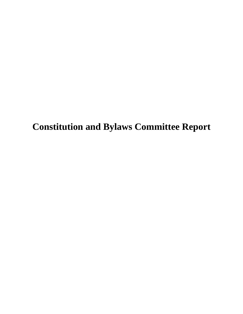**Constitution and Bylaws Committee Report**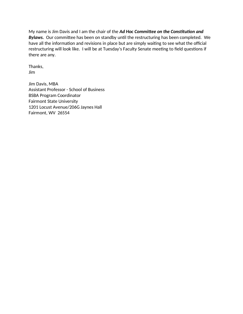My name is Jim Davis and I am the chair of the *Ad Hoc Committee on the Constitution and Bylaws.* Our committee has been on standby until the restructuring has been completed. We have all the information and revisions in place but are simply waiting to see what the official restructuring will look like. I will be at Tuesday's Faculty Senate meeting to field questions if there are any.

Thanks, Jim

Jim Davis, MBA Assistant Professor - School of Business BSBA Program Coordinator Fairmont State University 1201 Locust Avenue/206G Jaynes Hall Fairmont, WV 26554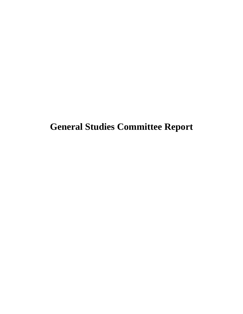**General Studies Committee Report**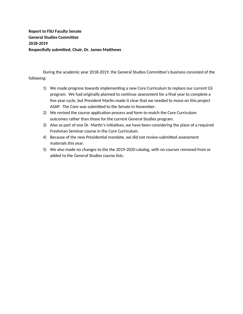**Report to FSU Faculty Senate General Studies Committee 2018-2019 Respectfully submitted, Chair, Dr. James Matthews**

During the academic year 2018-2019, the General Studies Committee's business consisted of the following:

- 1) We made progress towards implementing a new Core Curriculum to replace our current GS program. We had originally planned to continue assessment for a final year to complete a five year cycle, but President Martin made it clear that we needed to move on this project ASAP. The Core was submitted to the Senate in November.
- 2) We revised the course application process and form to match the Core Curriculum outcomes rather than those for the current General Studies program.
- 3) Also as part of one Dr. Martin's initiatives, we have been considering the place of a required Freshman Seminar course in the Core Curriculum.
- 4) Because of the new Presidential mandate, we did not review submitted assessment materials this year.
- 5) We also made no changes to the the 2019-2020 catalog, with no courses removed from or added to the General Studies course lists.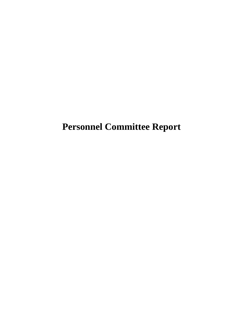**Personnel Committee Report**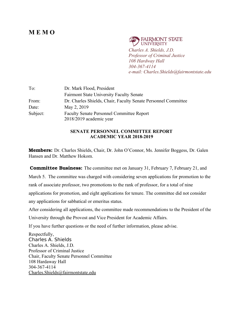## **M E M O**

**FAIRMONT STATE UNIVERSITY** *Charles A. Shields, J.D. Professor of Criminal Justice 108 Hardway Hall 304-367-4114 e-mail: Charles.Shields@fairmontstate.edu*

| To:      | Dr. Mark Flood, President                                                   |
|----------|-----------------------------------------------------------------------------|
|          | <b>Fairmont State University Faculty Senate</b>                             |
| From:    | Dr. Charles Shields, Chair, Faculty Senate Personnel Committee              |
| Date:    | May 2, 2019                                                                 |
| Subject: | <b>Faculty Senate Personnel Committee Report</b><br>2018/2019 academic year |

### **SENATE PERSONNEL COMMITTEE REPORT ACADEMIC YEAR 2018-2019**

**Members:** Dr. Charles Shields, Chair, Dr. John O'Connor, Ms. Jennifer Boggess, Dr. Galen Hansen and Dr. Matthew Hokom.

**Committee Business:** The committee met on January 31, February 7, February 21, and March 5. The committee was charged with considering seven applications for promotion to the rank of associate professor, two promotions to the rank of professor, for a total of nine applications for promotion, and eight applications for tenure. The committee did not consider any applications for sabbatical or emeritus status.

After considering all applications, the committee made recommendations to the President of the

University through the Provost and Vice President for Academic Affairs.

If you have further questions or the need of further information, please advise.

Respectfully, Charles A. Shields Charles A. Shields, J.D. Professor of Criminal Justice Chair, Faculty Senate Personnel Committee 108 Hardaway Hall 304-367-4114 Charles.Shields@fairmontstate.edu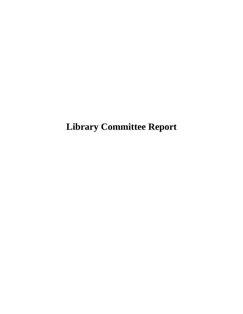**Library Committee Report**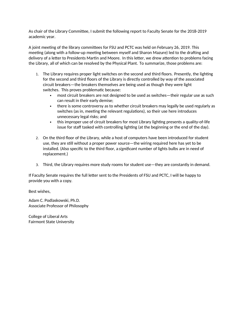As chair of the Library Committee, I submit the following report to Faculty Senate for the 2018-2019 academic year.

A joint meeting of the library committees for FSU and PCTC was held on February 26, 2019. This meeting (along with a follow-up meeting between myself and Sharon Mazure) led to the drafting and delivery of a letter to Presidents Martin and Moore. In this letter, we drew attention to problems facing the Library, all of which can be resolved by the Physical Plant. To summarize, those problems are:

- 1. The Library requires proper light switches on the second and third floors. Presently, the lighting for the second and third floors of the Library is directly controlled by way of the associated circuit breakers—the breakers themselves are being used as though they were light switches. This proves problematic because:
	- most circuit breakers are not designed to be used as switches—their regular use as such can result in their early demise;
	- there is some controversy as to whether circuit breakers may legally be used regularly as switches (as in, meeting the relevant regulations), so their use here introduces unnecessary legal risks; and
	- this improper use of circuit breakers for most Library lighting presents a quality-of-life issue for staff tasked with controlling lighting (at the beginning or the end of the day).
- 2. On the third floor of the Library, while a host of computers have been introduced for student use, they are still without a proper power source—the wiring required here has yet to be installed. (Also specific to the third floor, a *significant* number of lights bulbs are in need of replacement.)
- 3. Third, the Library requires more study rooms for student use—they are constantly in demand.

If Faculty Senate requires the full letter sent to the Presidents of FSU and PCTC, I will be happy to provide you with a copy.

Best wishes,

Adam C. Podlaskowski, Ph.D. Associate Professor of Philosophy

College of Liberal Arts Fairmont State University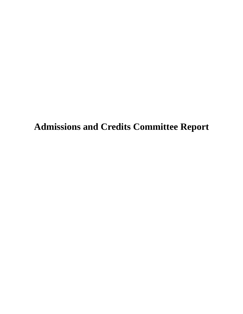**Admissions and Credits Committee Report**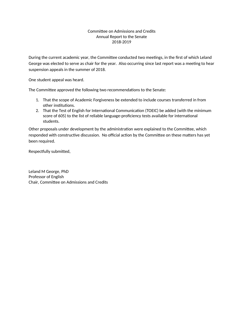### Committee on Admissions and Credits Annual Report to the Senate 2018-2019

During the current academic year, the Committee conducted two meetings, in the first of which Leland George was elected to serve as chair for the year. Also occurring since last report was a meeting to hear suspension appeals in the summer of 2018.

One student appeal was heard.

The Committee approved the following two recommendations to the Senate:

- 1. That the scope of Academic Forgiveness be extended to include courses transferred in from other institutions.
- 2. That the Test of English for International Communication (TOEIC) be added (with the minimum score of 605) to the list of reliable language-proficiency tests available for international students.

Other proposals under development by the administration were explained to the Committee, which responded with constructive discussion. No official action by the Committee on these matters has yet been required.

Respectfully submitted,

Leland M George, PhD Professor of English Chair, Committee on Admissions and Credits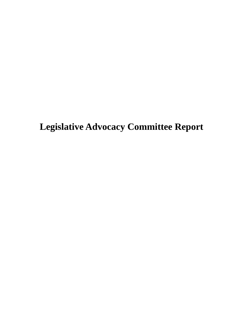**Legislative Advocacy Committee Report**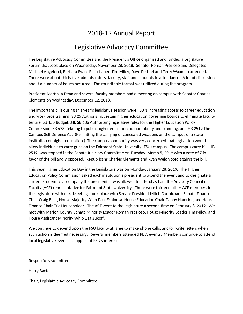## 2018-19 Annual Report

## Legislative Advocacy Committee

The Legislative Advocacy Committee and the President's Office organized and funded a Legislative Forum that took place on Wednesday, November 28, 2018. Senator Roman Prezioso and Delegates Michael Angelucci, Barbara Evans Fleischauer, Tim Miley, Dave Pethtel and Terry Waxman attended. There were about thirty five administrators, faculty, staff and students in attendance. A lot of discussion about a number of issues occurred. The roundtable format was utilized during the program.

President Martin, a Dean and several faculty members had a meeting on campus with Senator Charles Clements on Wednesday, December 12, 2018.

The important bills during this year's legislative session were: SB 1 Increasing access to career education and workforce training, SB 25 Authorizing certain higher education governing boards to eliminate faculty tenure, SB 150 Budget Bill, SB 636 Authorizing legislative rules for the Higher Education Policy Commission, SB 673 Relating to public higher education accountability and planning, and HB 2519 The Campus Self Defense Act (Permitting the carrying of concealed weapons on the campus of a state institution of higher education.) The campus community was very concerned that legislation would allow individuals to carry guns on the Fairmont State University (FSU) campus. The campus carry bill, HB 2519, was stopped in the Senate Judiciary Committee on Tuesday, March 5, 2019 with a vote of 7 in favor of the bill and 9 opposed. Republicans Charles Clements and Ryan Weld voted against the bill.

This year Higher Education Day in the Legislature was on Monday, January 28, 2019. The Higher Education Policy Commission asked each institution's president to attend the event and to designate a current student to accompany the president. I was allowed to attend as I am the Advisory Council of Faculty (ACF) representative for Fairmont State University. There were thirteen other ACF members in the legislature with me. Meetings took place with Senate President Mitch Carmichael, Senate Finance Chair Craig Blair, House Majority Whip Paul Espinosa, House Education Chair Danny Hamrick, and House Finance Chair Eric Householder. The ACF went to the legislature a second time on February 8, 2019. We met with Marion County Senate Minority Leader Roman Prezioso, House Minority Leader Tim Miley, and House Assistant Minority Whip Lisa Zukoff.

We continue to depend upon the FSU faculty at large to make phone calls, and/or write letters when such action is deemed necessary. Several members attended PEIA events. Members continue to attend local legislative events in support of FSU's interests.

Respectfully submitted,

Harry Baxter

Chair, Legislative Advocacy Committee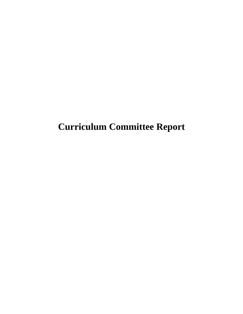**Curriculum Committee Report**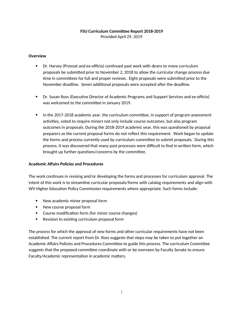### **FSU Curriculum Committee Report 2018-2019**

Provided April 29, 2019

#### **Overview**

- Dr. Harvey (Provost and ex-officio) continued past work with deans to move curriculum proposals be submitted prior to November 2, 2018 to allow the curricular change process due time in committees for full and proper reviews. Eight proposals were submitted prior to the November deadline. Seven additional proposals were accepted after the deadline.
- Dr. Susan Ross (Executive Director of Academic Programs and Support Services and ex-officio) was welcomed to the committee in January 2019.
- In the 2017-2018 academic year, the curriculum committee, in support of program assessment activities, voted to require minors not only include course outcomes, but also program outcomes in proposals. During the 2018-2019 academic year, this was questioned by proposal preparers as the current proposal forms do not reflect this requirement. Work began to update the forms and process currently used by curriculum committee to submit proposals. During this process, it was discovered that many past processes were difficult to find in written form, which brought up further questions/concerns by the committee.

### **Academic Affairs Policies and Procedures**

The work continues in revising and/or developing the forms and processes for curriculum approval. The intent of this work is to streamline curricular proposals/forms with catalog requirements and align with WV-Higher Education Policy Commission requirements where appropriate. Such forms include:

- New academic minor proposal form
- New course proposal form
- Course modification form (for minor course changes)
- Revision to existing curriculum proposal form

The process for which the approval of new forms and other curricular requirements have not been established. The current report from Dr. Ross suggests that steps may be taken to put together an Academic Affairs Policies and Procedures Committee to guide this process. The curriculum Committee suggests that the proposed committee coordinate with or be overseen by Faculty Senate to ensure Faculty/Academic representation in academic matters.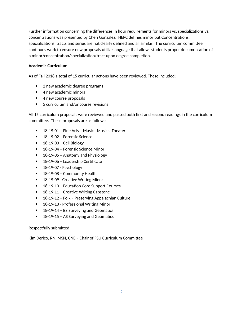Further information concerning the differences in hour requirements for minors vs. specializations vs. concentrations was presented by Cheri Gonzalez. HEPC defines minor but Concentrations, specializations, tracts and series are not clearly defined and all similar. The curriculum committee continues work to ensure new proposals utilize language that allows students proper documentation of a minor/concentration/specialization/tract upon degree completion.

### **Academic Curriculum**

As of Fall 2018 a total of 15 curricular actions have been reviewed. These included:

- 2 new academic degree programs
- 4 new academic minors
- 4 new course proposals
- 5 curriculum and/or course revisions

All 15 curriculum proposals were reviewed and passed both first and second readings in the curriculum committee. These proposals are as follows:

- 18-19-01 Fine Arts Music –Musical Theater
- 18-19-02 Forensic Science
- $\bullet$  18-19-03 Cell Biology
- 18-19-04 Forensic Science Minor
- 18-19-05 Anatomy and Physiology
- 18-19-06 Leadership Certificate
- 18-19-07 Psychology
- 18-19-08 Community Health
- 18-19-09 Creative Writing Minor
- 18-19-10 Education Core Support Courses
- 18-19-11 Creative Writing Capstone
- 18-19-12 Folk Preserving Appalachian Culture
- 18-19-13 Professional Writing Minor
- 18-19-14 BS Surveying and Geomatics
- 18-19-15 AS Surveying and Geomatics

Respectfully submitted,

Kim Derico, RN, MSN, CNE – Chair of FSU Curriculum Committee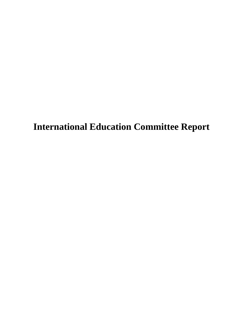**International Education Committee Report**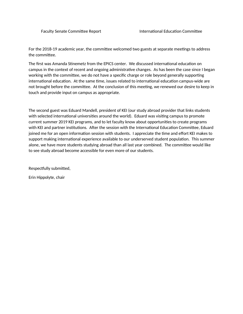For the 2018-19 academic year, the committee welcomed two guests at separate meetings to address the committee.

The first was Amanda Stinemetz from the EPICS center. We discussed international education on campus in the context of recent and ongoing administrative changes. As has been the case since I began working with the committee, we do not have a specific charge or role beyond generally supporting international education. At the same time, issues related to international education campus-wide are not brought before the committee. At the conclusion of this meeting, we renewed our desire to keep in touch and provide input on campus as appropriate.

The second guest was Eduard Mandell, president of KEI (our study abroad provider that links students with selected international universities around the world). Eduard was visiting campus to promote current summer 2019 KEI programs, and to let faculty know about opportunities to create programs with KEI and partner institutions. After the session with the International Education Committee, Eduard joined me for an open information session with students. I appreciate the time and effort KEI makes to support making international experience available to our underserved student population. This summer alone, we have more students studying abroad than all last year combined. The committee would like to see study abroad become accessible for even more of our students.

Respectfully submitted,

Erin Hippolyte, chair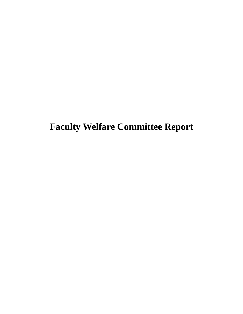# **Faculty Welfare Committee Report**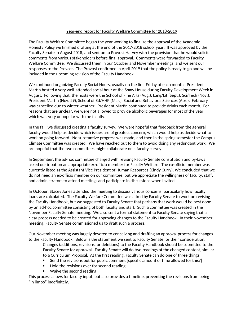### Year-end report for Faculty Welfare Committee for 2018-2019

The Faculty Welfare Committee began the year working to finalize the approval of the Academic Honesty Policy we finished drafting at the end of the 2017-2018 school year. It was approved by the Faculty Senate in August 2018, and sent on to Provost Harvey with the provision that he would solicit comments from various stakeholders before final approval. Comments were forwarded to Faculty Welfare Committee. We discussed them in our October and November meetings, and we sent our responses to the Provost. The Provost confirmed in April 2019 that the policy is ready to go and will be included in the upcoming revision of the Faculty Handbook.

We continued organizing Faculty Social Hours, usually on the first Friday of each month. President Martin hosted a very well-attended social hour at the Shaw House during Faculty Development Week in August. Following that, the hosts were the School of Fine Arts (Aug.), Lang/Lit (Sept.), Sci/Tech (Nov.), President Martin (Nov. 29), School of Ed/HHP (Mar.), Social and Behavioral Sciences (Apr.). February was cancelled due to winter weather. President Martin continued to provide drinks each month. For reasons that are unclear, we were not allowed to provide alcoholic beverages for most of the year, which was very unpopular with the faculty.

In the fall, we discussed creating a faculty survey. We were hopeful that feedback from the general faculty would help us decide which issues are of greatest concern, which would help us decide what to work on going forward. No substantive progress was made, and then in the spring semester the Campus Climate Committee was created. We have reached out to them to avoid doing any redundant work. We are hopeful that the two committees might collaborate on a faculty survey.

In September, the ad-hoc committee charged with revising Faculty Senate constitution and by-laws asked our input on an appropriate ex-officio member for Faculty Welfare. The ex-officio member was currently listed as the Assistant Vice President of Human Resources (Cindy Curry). We concluded that we do not need an ex-officio member on our committee, but we appreciate the willingness of faculty, staff, and administrators to attend meetings and participate in discussions when invited.

In October, Stacey Jones attended the meeting to discuss various concerns, particularly how faculty loads are calculated. The Faculty Welfare Committee was asked by Faculty Senate to work on revising the Faculty Handbook, but we suggested to Faculty Senate that perhaps that work would be best done by an ad-hoc committee consisting of both faculty and staff. Such a committee was created in the November Faculty Senate meeting. We also sent a formal statement to Faculty Senate saying that a clear process needed to be created for approving changes to the Faculty Handbook. In their November meeting, Faculty Senate commissioned us to draft such a process.

Our November meeting was largely devoted to conceiving and drafting an approval process for changes to the Faculty Handbook. Below is the statement we sent to Faculty Senate for their consideration:

Changes (additions, revisions, or deletions) to the Faculty Handbook should be submitted to the Faculty Senate for approval. Faculty Senate will do two readings of the changed content, similar to a Curriculum Proposal. At the first reading, Faculty Senate can do one of three things:

- Send the revisions out for public comment [specific amount of time allowed for this?]
- Hold the revisions over for second reading
- Waive the second reading

This process allows for faculty input, but also provides a timeline, preventing the revisions from being "in limbo" indefinitely.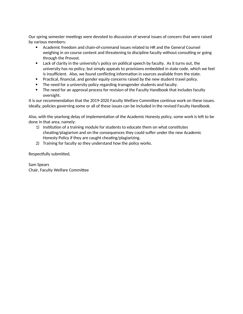Our spring semester meetings were devoted to discussion of several issues of concern that were raised by various members:

- Academic freedom and chain-of-command issues related to HR and the General Counsel weighing in on course content and threatening to discipline faculty without consulting or going through the Provost.
- Lack of clarity in the university's policy on political speech by faculty. As it turns out, the university has no policy, but simply appeals to provisions embedded in state code, which we feel is insufficient. Also, we found conflicting information in sources available from the state.
- Practical, financial, and gender equity concerns raised by the new student travel policy.
- The need for a university policy regarding transgender students and faculty.
- The need for an approval process for revision of the Faculty Handbook that includes faculty oversight.

It is our recommendation that the 2019-2020 Faculty Welfare Committee continue work on these issues. Ideally, policies governing some or all of these issues can be included in the revised Faculty Handbook.

Also, with the yearlong delay of implementation of the Academic Honesty policy, some work is left to be done in that area, namely:

- 1) Institution of a training module for students to educate them on what constitutes cheating/plagiarism and on the consequences they could suffer under the new Academic Honesty Policy if they are caught cheating/plagiarizing.
- 2) Training for faculty so they understand how the policy works.

Respectfully submitted,

Sam Spears Chair, Faculty Welfare Committee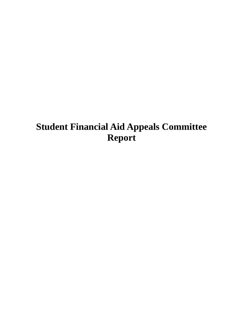# **Student Financial Aid Appeals Committee Report**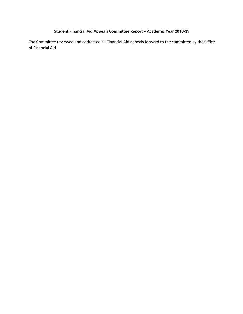### **Student Financial Aid Appeals Committee Report – Academic Year 2018-19**

The Committee reviewed and addressed all Financial Aid appeals forward to the committee by the Office of Financial Aid.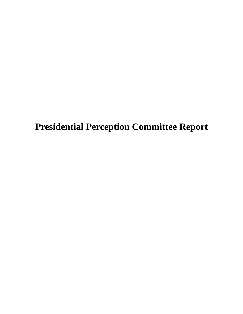**Presidential Perception Committee Report**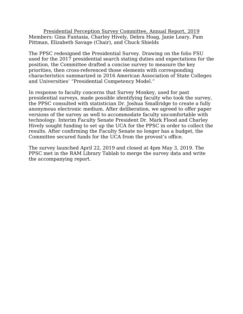Presidential Perception Survey Committee, Annual Report, 2019 Members: Gina Fantasia, Charley Hively, Debra Hoag, Janie Leary, Pam Pittman, Elizabeth Savage (Chair), and Chuck Shields

The PPSC redesigned the Presidential Survey. Drawing on the folio FSU used for the 2017 presidential search stating duties and expectations for the position, the Committee drafted a concise survey to measure the key priorities, then cross-referenced those elements with corresponding characteristics summarized in 2016 American Association of State Colleges and Universities' "Presidential Competency Model."

In response to faculty concerns that Survey Monkey, used for past presidential surveys, made possible identifying faculty who took the survey, the PPSC consulted with statistician Dr. Joshua Smallridge to create a fully anonymous electronic medium. After deliberation, we agreed to offer paper versions of the survey as well to accommodate faculty uncomfortable with technology. Interim Faculty Senate President Dr. Mark Flood and Charley Hively sought funding to set up the UCA for the PPSC in order to collect the results. After confirming the Faculty Senate no longer has a budget, the Committee secured funds for the UCA from the provost's office.

The survey launched April 22, 2019 and closed at 4pm May 3, 2019. The PPSC met in the RAM Library Tablab to merge the survey data and write the accompanying report.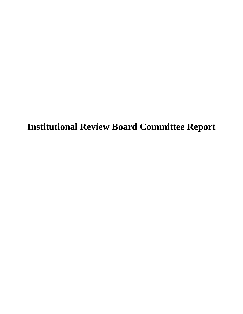**Institutional Review Board Committee Report**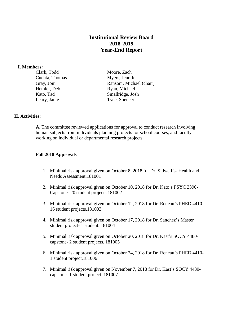### **Institutional Review Board 2018-2019 Year-End Report**

#### **I. Members:**

Clark, Todd Moore, Zach Hemler, Deb Ryan, Michael

Cuchta, Thomas Myers, Jennifer Gray, Joni Ransom, Michael (chair) Kato, Tad Smallridge, Josh Leary, Janie Tyce, Spencer

### **II. Activities:**

**A**. The committee reviewed applications for approval to conduct research involving human subjects from individuals planning projects for school courses, and faculty working on individual or departmental research projects.

### **Fall 2018 Approvals**

- 1. Minimal risk approval given on October 8, 2018 for Dr. Sidwell's- Health and Needs Assessment.181001
- 2. Minimal risk approval given on October 10, 2018 for Dr. Kato's PSYC 3390- Capstone- 20 student projects.181002
- 3. Minimal risk approval given on October 12, 2018 for Dr. Reneau's PHED 4410- 16 student projects.181003
- 4. Minimal risk approval given on October 17, 2018 for Dr. Sanchez's Master student project- 1 student. 181004
- 5. Minimal risk approval given on October 20, 2018 for Dr. Kast's SOCY 4480 capstone- 2 student projects. 181005
- 6. Minimal risk approval given on October 24, 2018 for Dr. Reneau's PHED 4410- 1 student project.181006
- 7. Minimal risk approval given on November 7, 2018 for Dr. Kast's SOCY 4480 capstone- 1 student project. 181007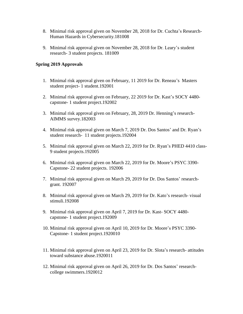- 8. Minimal risk approval given on November 28, 2018 for Dr. Cuchta's Research-Human Hazards in Cybersecurity.181008
- 9. Minimal risk approval given on November 28, 2018 for Dr. Leary's student research- 3 student projects. 181009

### **Spring 2019 Approvals**

- 1. Minimal risk approval given on February, 11 2019 for Dr. Reneau's Masters student project- 1 student.192001
- 2. Minimal risk approval given on February, 22 2019 for Dr. Kast's SOCY 4480 capstone- 1 student project.192002
- 3. Minimal risk approval given on February, 28, 2019 Dr. Henning's research-AIMMS survey.182003
- 4. Minimal risk approval given on March 7, 2019 Dr. Dos Santos' and Dr. Ryan's student research- 11 student projects.192004
- 5. Minimal risk approval given on March 22, 2019 for Dr. Ryan's PHED 4410 class-9 student projects.192005
- 6. Minimal risk approval given on March 22, 2019 for Dr. Moore's PSYC 3390- Capstone- 22 student projects. 192006
- 7. Minimal risk approval given on March 29, 2019 for Dr. Dos Santos' researchgrant. 192007
- 8. Minimal risk approval given on March 29, 2019 for Dr. Kato's research- visual stimuli.192008
- 9. Minimal risk approval given on April 7, 2019 for Dr. Kast- SOCY 4480 capstone- 1 student project.192009
- 10. Minimal risk approval given on April 10, 2019 for Dr. Moore's PSYC 3390- Capstone- 1 student project.1920010
- 11. Minimal risk approval given on April 23, 2019 for Dr. Slota's research- attitudes toward substance abuse.1920011
- 12. Minimal risk approval given on April 26, 2019 for Dr. Dos Santos' researchcollege swimmers.1920012